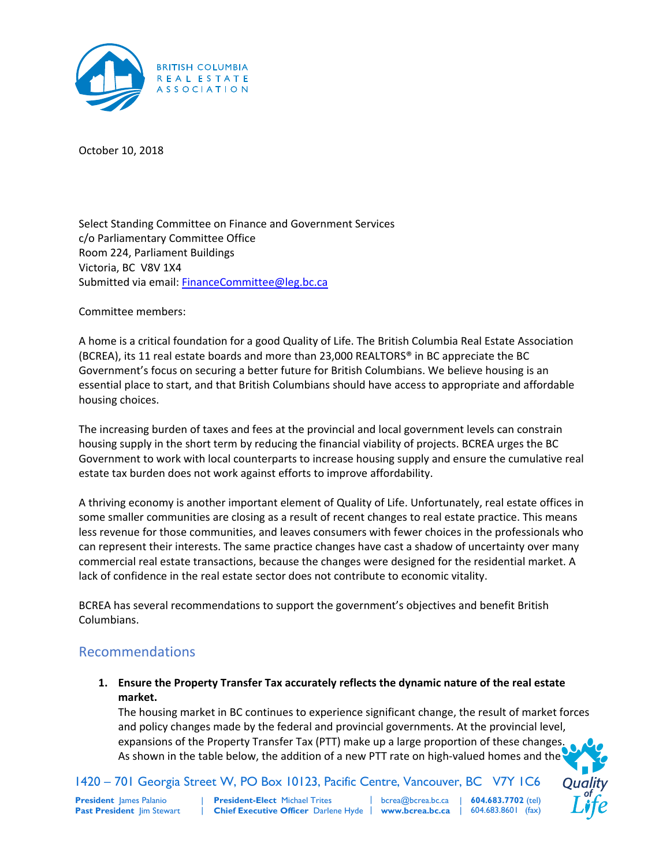

October 10, 2018

Select Standing Committee on Finance and Government Services c/o Parliamentary Committee Office Room 224, Parliament Buildings Victoria, BC V8V 1X4 Submitted via email: FinanceCommittee@leg.bc.ca

Committee members:

A home is a critical foundation for a good Quality of Life. The British Columbia Real Estate Association (BCREA), its 11 real estate boards and more than 23,000 REALTORS® in BC appreciate the BC Government's focus on securing a better future for British Columbians. We believe housing is an essential place to start, and that British Columbians should have access to appropriate and affordable housing choices.

The increasing burden of taxes and fees at the provincial and local government levels can constrain housing supply in the short term by reducing the financial viability of projects. BCREA urges the BC Government to work with local counterparts to increase housing supply and ensure the cumulative real estate tax burden does not work against efforts to improve affordability.

A thriving economy is another important element of Quality of Life. Unfortunately, real estate offices in some smaller communities are closing as a result of recent changes to real estate practice. This means less revenue for those communities, and leaves consumers with fewer choices in the professionals who can represent their interests. The same practice changes have cast a shadow of uncertainty over many commercial real estate transactions, because the changes were designed for the residential market. A lack of confidence in the real estate sector does not contribute to economic vitality.

BCREA has several recommendations to support the government's objectives and benefit British Columbians.

# Recommendations

**1. Ensure the Property Transfer Tax accurately reflects the dynamic nature of the real estate market.** 

The housing market in BC continues to experience significant change, the result of market forces and policy changes made by the federal and provincial governments. At the provincial level, expansions of the Property Transfer Tax (PTT) make up a large proportion of these changes. As shown in the table below, the addition of a new PTT rate on high-valued homes and the

| | | bcrea@bcrea.bc.ca | **604.683.7702** (tel) | Chief Executive Officer Darlene Hyde | www.bcrea.bc.ca | 604.683.8601 (fax) 1420 – 701 Georgia Street W, PO Box 10123, Pacific Centre, Vancouver, BC V7Y 1C6 **President** James Palanio **Past President** Jim Stewart **President-Elect** Michael Trites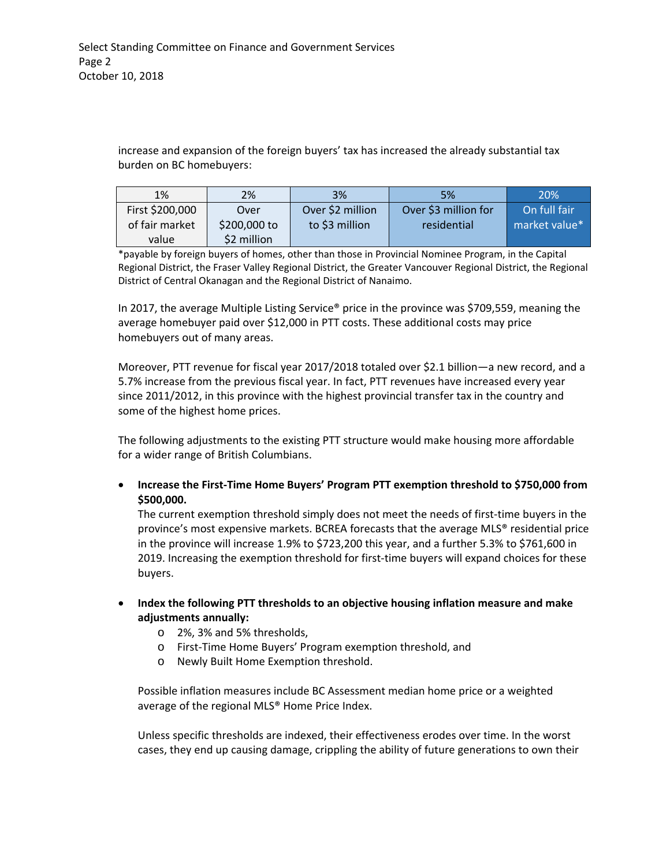increase and expansion of the foreign buyers' tax has increased the already substantial tax burden on BC homebuyers:

| 1%              | 2%           | 3%               | 5%                   | 20%           |
|-----------------|--------------|------------------|----------------------|---------------|
| First \$200,000 | Over         | Over \$2 million | Over \$3 million for | On full fair  |
| of fair market  | \$200,000 to | to \$3 million   | residential          | market value* |
| value           | \$2 million  |                  |                      |               |

\*payable by foreign buyers of homes, other than those in Provincial Nominee Program, in the Capital Regional District, the Fraser Valley Regional District, the Greater Vancouver Regional District, the Regional District of Central Okanagan and the Regional District of Nanaimo.

In 2017, the average Multiple Listing Service® price in the province was \$709,559, meaning the average homebuyer paid over \$12,000 in PTT costs. These additional costs may price homebuyers out of many areas.

Moreover, PTT revenue for fiscal year 2017/2018 totaled over \$2.1 billion—a new record, and a 5.7% increase from the previous fiscal year. In fact, PTT revenues have increased every year since 2011/2012, in this province with the highest provincial transfer tax in the country and some of the highest home prices.

The following adjustments to the existing PTT structure would make housing more affordable for a wider range of British Columbians.

 **Increase the First‐Time Home Buyers' Program PTT exemption threshold to \$750,000 from \$500,000.** 

The current exemption threshold simply does not meet the needs of first-time buyers in the province's most expensive markets. BCREA forecasts that the average MLS® residential price in the province will increase 1.9% to \$723,200 this year, and a further 5.3% to \$761,600 in 2019. Increasing the exemption threshold for first-time buyers will expand choices for these buyers.

- **Index the following PTT thresholds to an objective housing inflation measure and make adjustments annually:** 
	- o 2%, 3% and 5% thresholds,
	- o First‐Time Home Buyers' Program exemption threshold, and
	- o Newly Built Home Exemption threshold.

Possible inflation measures include BC Assessment median home price or a weighted average of the regional MLS® Home Price Index.

Unless specific thresholds are indexed, their effectiveness erodes over time. In the worst cases, they end up causing damage, crippling the ability of future generations to own their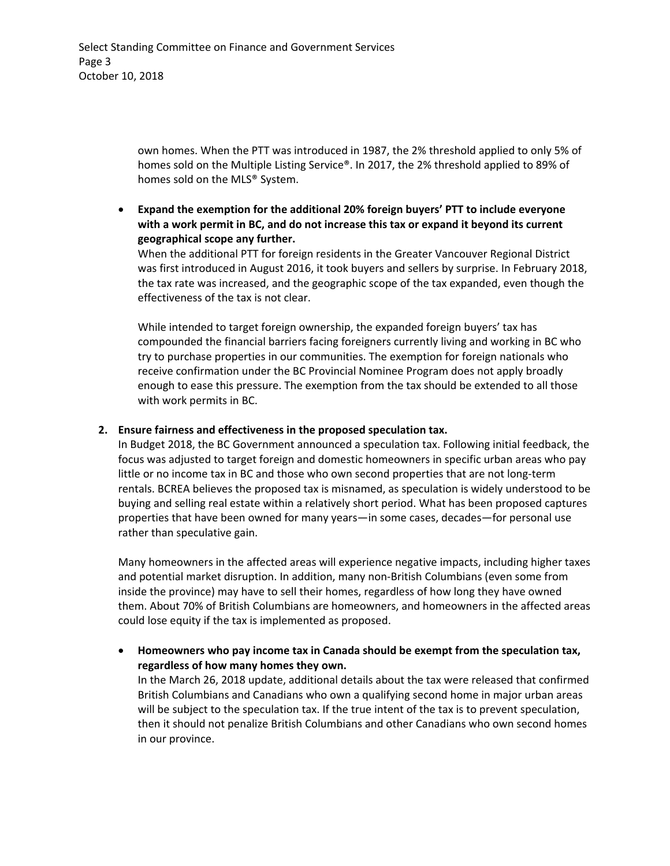Select Standing Committee on Finance and Government Services Page 3 October 10, 2018

> own homes. When the PTT was introduced in 1987, the 2% threshold applied to only 5% of homes sold on the Multiple Listing Service®. In 2017, the 2% threshold applied to 89% of homes sold on the MLS® System.

 **Expand the exemption for the additional 20% foreign buyers' PTT to include everyone with a work permit in BC, and do not increase this tax or expand it beyond its current geographical scope any further.** 

When the additional PTT for foreign residents in the Greater Vancouver Regional District was first introduced in August 2016, it took buyers and sellers by surprise. In February 2018, the tax rate was increased, and the geographic scope of the tax expanded, even though the effectiveness of the tax is not clear.

While intended to target foreign ownership, the expanded foreign buyers' tax has compounded the financial barriers facing foreigners currently living and working in BC who try to purchase properties in our communities. The exemption for foreign nationals who receive confirmation under the BC Provincial Nominee Program does not apply broadly enough to ease this pressure. The exemption from the tax should be extended to all those with work permits in BC.

#### **2. Ensure fairness and effectiveness in the proposed speculation tax.**

In Budget 2018, the BC Government announced a speculation tax. Following initial feedback, the focus was adjusted to target foreign and domestic homeowners in specific urban areas who pay little or no income tax in BC and those who own second properties that are not long‐term rentals. BCREA believes the proposed tax is misnamed, as speculation is widely understood to be buying and selling real estate within a relatively short period. What has been proposed captures properties that have been owned for many years—in some cases, decades—for personal use rather than speculative gain.

Many homeowners in the affected areas will experience negative impacts, including higher taxes and potential market disruption. In addition, many non‐British Columbians (even some from inside the province) may have to sell their homes, regardless of how long they have owned them. About 70% of British Columbians are homeowners, and homeowners in the affected areas could lose equity if the tax is implemented as proposed.

 **Homeowners who pay income tax in Canada should be exempt from the speculation tax, regardless of how many homes they own.** 

In the March 26, 2018 update, additional details about the tax were released that confirmed British Columbians and Canadians who own a qualifying second home in major urban areas will be subject to the speculation tax. If the true intent of the tax is to prevent speculation, then it should not penalize British Columbians and other Canadians who own second homes in our province.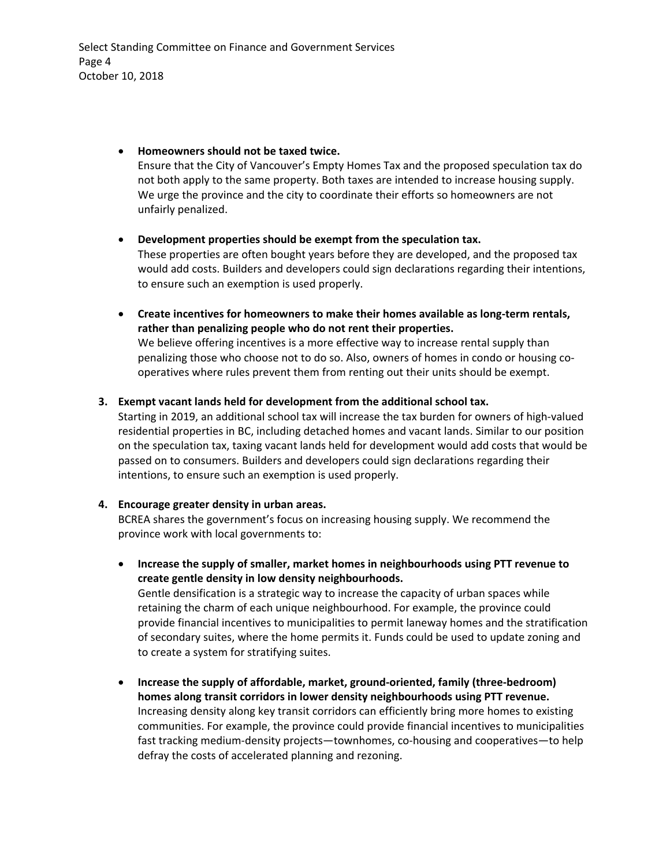Select Standing Committee on Finance and Government Services Page 4 October 10, 2018

### **Homeowners should not be taxed twice.**

Ensure that the City of Vancouver's Empty Homes Tax and the proposed speculation tax do not both apply to the same property. Both taxes are intended to increase housing supply. We urge the province and the city to coordinate their efforts so homeowners are not unfairly penalized.

#### **Development properties should be exempt from the speculation tax.**

These properties are often bought years before they are developed, and the proposed tax would add costs. Builders and developers could sign declarations regarding their intentions, to ensure such an exemption is used properly.

 **Create incentives for homeowners to make their homes available as long‐term rentals, rather than penalizing people who do not rent their properties.**

We believe offering incentives is a more effective way to increase rental supply than penalizing those who choose not to do so. Also, owners of homes in condo or housing co‐ operatives where rules prevent them from renting out their units should be exempt.

## **3. Exempt vacant lands held for development from the additional school tax.**

Starting in 2019, an additional school tax will increase the tax burden for owners of high‐valued residential properties in BC, including detached homes and vacant lands. Similar to our position on the speculation tax, taxing vacant lands held for development would add costs that would be passed on to consumers. Builders and developers could sign declarations regarding their intentions, to ensure such an exemption is used properly.

## **4. Encourage greater density in urban areas.**

BCREA shares the government's focus on increasing housing supply. We recommend the province work with local governments to:

 **Increase the supply of smaller, market homes in neighbourhoods using PTT revenue to create gentle density in low density neighbourhoods.** 

Gentle densification is a strategic way to increase the capacity of urban spaces while retaining the charm of each unique neighbourhood. For example, the province could provide financial incentives to municipalities to permit laneway homes and the stratification of secondary suites, where the home permits it. Funds could be used to update zoning and to create a system for stratifying suites.

 **Increase the supply of affordable, market, ground‐oriented, family (three‐bedroom) homes along transit corridors in lower density neighbourhoods using PTT revenue.**  Increasing density along key transit corridors can efficiently bring more homes to existing communities. For example, the province could provide financial incentives to municipalities fast tracking medium-density projects—townhomes, co-housing and cooperatives—to help defray the costs of accelerated planning and rezoning.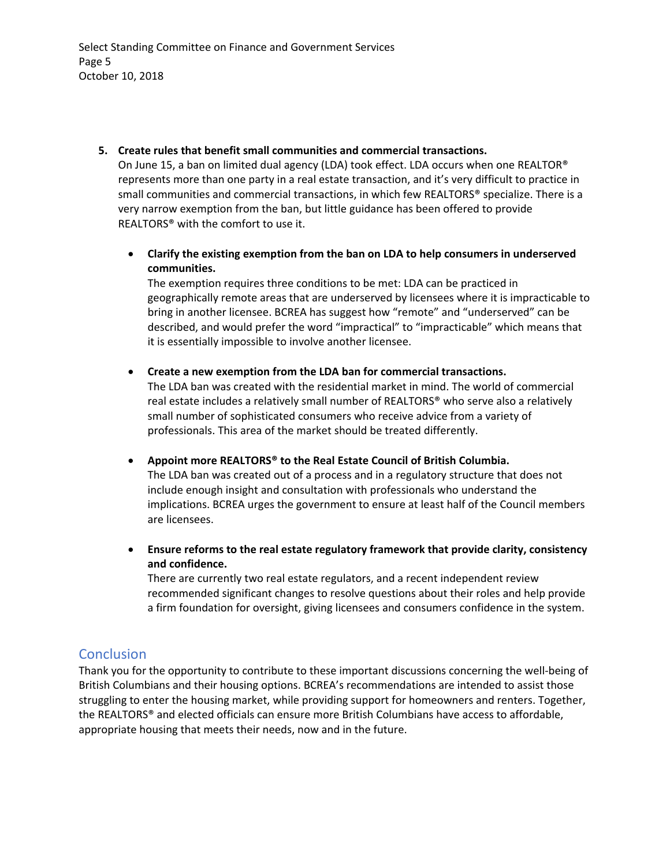Select Standing Committee on Finance and Government Services Page 5 October 10, 2018

### **5. Create rules that benefit small communities and commercial transactions.**

On June 15, a ban on limited dual agency (LDA) took effect. LDA occurs when one REALTOR® represents more than one party in a real estate transaction, and it's very difficult to practice in small communities and commercial transactions, in which few REALTORS® specialize. There is a very narrow exemption from the ban, but little guidance has been offered to provide REALTORS® with the comfort to use it.

 **Clarify the existing exemption from the ban on LDA to help consumers in underserved communities.** 

The exemption requires three conditions to be met: LDA can be practiced in geographically remote areas that are underserved by licensees where it is impracticable to bring in another licensee. BCREA has suggest how "remote" and "underserved" can be described, and would prefer the word "impractical" to "impracticable" which means that it is essentially impossible to involve another licensee.

- **Create a new exemption from the LDA ban for commercial transactions.**  The LDA ban was created with the residential market in mind. The world of commercial real estate includes a relatively small number of REALTORS® who serve also a relatively small number of sophisticated consumers who receive advice from a variety of professionals. This area of the market should be treated differently.
- **Appoint more REALTORS® to the Real Estate Council of British Columbia.**  The LDA ban was created out of a process and in a regulatory structure that does not include enough insight and consultation with professionals who understand the implications. BCREA urges the government to ensure at least half of the Council members are licensees.
- **Ensure reforms to the real estate regulatory framework that provide clarity, consistency and confidence.**

There are currently two real estate regulators, and a recent independent review recommended significant changes to resolve questions about their roles and help provide a firm foundation for oversight, giving licensees and consumers confidence in the system.

# **Conclusion**

Thank you for the opportunity to contribute to these important discussions concerning the well‐being of British Columbians and their housing options. BCREA's recommendations are intended to assist those struggling to enter the housing market, while providing support for homeowners and renters. Together, the REALTORS® and elected officials can ensure more British Columbians have access to affordable, appropriate housing that meets their needs, now and in the future.